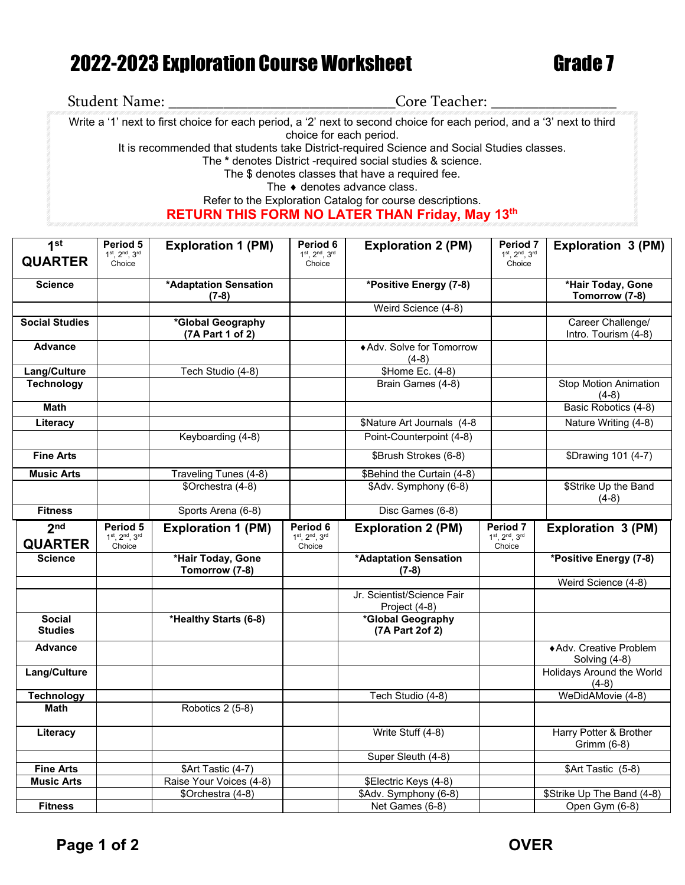## 2022-2023 Exploration Course Worksheet Grade 7

| <b>Student Name:</b>                                                                       | Core Teacher:                                                                                                                                     |  |  |  |  |
|--------------------------------------------------------------------------------------------|---------------------------------------------------------------------------------------------------------------------------------------------------|--|--|--|--|
|                                                                                            | Write a '1' next to first choice for each period, a '2' next to second choice for each period, and a '3' next to third<br>choice for each period. |  |  |  |  |
| It is recommended that students take District-required Science and Social Studies classes. |                                                                                                                                                   |  |  |  |  |
|                                                                                            | The * denotes District -required social studies & science.                                                                                        |  |  |  |  |
|                                                                                            | The \$ denotes classes that have a required fee.                                                                                                  |  |  |  |  |
|                                                                                            | The $\bullet$ denotes advance class.                                                                                                              |  |  |  |  |
|                                                                                            | Refer to the Exploration Catalog for course descriptions.                                                                                         |  |  |  |  |
|                                                                                            | <b>RETURN THIS FORM NO LATER THAN Friday, May 13th</b>                                                                                            |  |  |  |  |

| 1 <sup>st</sup>                   | Period 5<br>$1^{st}$ , $2^{nd}$ , $3^{rd}$           | <b>Exploration 1 (PM)</b>                    | Period 6<br>$1^{st}$ , $2^{nd}$ , $3^{rd}$                      | <b>Exploration 2 (PM)</b>                | Period <sub>7</sub><br>$1st$ , $2nd$ , $3rd$         | Exploration 3 (PM)                           |
|-----------------------------------|------------------------------------------------------|----------------------------------------------|-----------------------------------------------------------------|------------------------------------------|------------------------------------------------------|----------------------------------------------|
| <b>QUARTER</b>                    | Choice                                               |                                              | Choice                                                          |                                          | Choice                                               |                                              |
| <b>Science</b>                    |                                                      | *Adaptation Sensation<br>$(7-8)$             |                                                                 | *Positive Energy (7-8)                   |                                                      | *Hair Today, Gone<br>Tomorrow (7-8)          |
|                                   |                                                      |                                              |                                                                 | Weird Science (4-8)                      |                                                      |                                              |
| <b>Social Studies</b>             |                                                      | *Global Geography<br>(7A Part 1 of 2)        |                                                                 |                                          |                                                      | Career Challenge/<br>Intro. Tourism (4-8)    |
| <b>Advance</b>                    |                                                      |                                              |                                                                 | ◆ Adv. Solve for Tomorrow<br>$(4-8)$     |                                                      |                                              |
| Lang/Culture                      |                                                      | Tech Studio (4-8)                            |                                                                 | \$Home Ec. (4-8)                         |                                                      |                                              |
| <b>Technology</b>                 |                                                      |                                              |                                                                 | Brain Games (4-8)                        |                                                      | <b>Stop Motion Animation</b><br>$(4-8)$      |
| <b>Math</b>                       |                                                      |                                              |                                                                 |                                          |                                                      | Basic Robotics (4-8)                         |
| Literacy                          |                                                      |                                              |                                                                 | \$Nature Art Journals (4-8               |                                                      | Nature Writing (4-8)                         |
|                                   |                                                      | Keyboarding (4-8)                            |                                                                 | Point-Counterpoint (4-8)                 |                                                      |                                              |
| <b>Fine Arts</b>                  |                                                      |                                              |                                                                 | \$Brush Strokes (6-8)                    |                                                      | \$Drawing 101 (4-7)                          |
| <b>Music Arts</b>                 |                                                      | Traveling Tunes (4-8)                        |                                                                 | \$Behind the Curtain (4-8)               |                                                      |                                              |
|                                   |                                                      | \$Orchestra (4-8)                            |                                                                 | \$Adv. Symphony (6-8)                    |                                                      | \$Strike Up the Band<br>$(4-8)$              |
| <b>Fitness</b>                    |                                                      | Sports Arena (6-8)                           |                                                                 | Disc Games (6-8)                         |                                                      |                                              |
| 2 <sub>nd</sub><br><b>QUARTER</b> | Period 5<br>$1^{st}$ , $2^{nd}$ , $3^{rd}$<br>Choice | <b>Exploration 1 (PM)</b>                    | Period <sub>6</sub><br>$1^{st}$ , $2^{nd}$ , $3^{rd}$<br>Choice | <b>Exploration 2 (PM)</b>                | Period 7<br>$1^{st}$ , $2^{nd}$ , $3^{rd}$<br>Choice | Exploration 3 (PM)                           |
| <b>Science</b>                    |                                                      | *Hair Today, Gone                            |                                                                 | *Adaptation Sensation                    |                                                      | *Positive Energy (7-8)                       |
|                                   |                                                      | Tomorrow (7-8)                               |                                                                 | $(7-8)$                                  |                                                      |                                              |
|                                   |                                                      |                                              |                                                                 | Jr. Scientist/Science Fair               |                                                      | Weird Science (4-8)                          |
|                                   |                                                      |                                              |                                                                 | Project (4-8)                            |                                                      |                                              |
| <b>Social</b><br><b>Studies</b>   |                                                      | *Healthy Starts (6-8)                        |                                                                 | *Global Geography<br>(7A Part 2of 2)     |                                                      |                                              |
| <b>Advance</b>                    |                                                      |                                              |                                                                 |                                          |                                                      | ◆ Adv. Creative Problem<br>Solving (4-8)     |
| Lang/Culture                      |                                                      |                                              |                                                                 |                                          |                                                      | Holidays Around the World<br>$(4-8)$         |
| <b>Technology</b>                 |                                                      |                                              |                                                                 | Tech Studio (4-8)                        |                                                      | WeDidAMovie (4-8)                            |
| <b>Math</b>                       |                                                      | Robotics 2 (5-8)                             |                                                                 |                                          |                                                      |                                              |
| Literacy                          |                                                      |                                              |                                                                 | Write Stuff (4-8)                        |                                                      | Harry Potter & Brother<br>Grimm (6-8)        |
|                                   |                                                      |                                              |                                                                 | Super Sleuth (4-8)                       |                                                      |                                              |
| <b>Fine Arts</b>                  |                                                      | \$Art Tastic (4-7)                           |                                                                 |                                          |                                                      | \$Art Tastic (5-8)                           |
| <b>Music Arts</b>                 |                                                      | Raise Your Voices (4-8)<br>\$Orchestra (4-8) |                                                                 | \$Electric Keys (4-8)                    |                                                      |                                              |
| <b>Fitness</b>                    |                                                      |                                              |                                                                 | \$Adv. Symphony (6-8)<br>Net Games (6-8) |                                                      | \$Strike Up The Band (4-8)<br>Open Gym (6-8) |
|                                   |                                                      |                                              |                                                                 |                                          |                                                      |                                              |